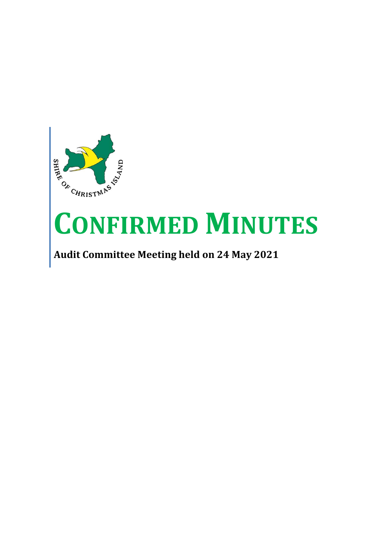

# **CONFIRMED MINUTES**

## **Audit Committee Meeting held on 24 May 2021**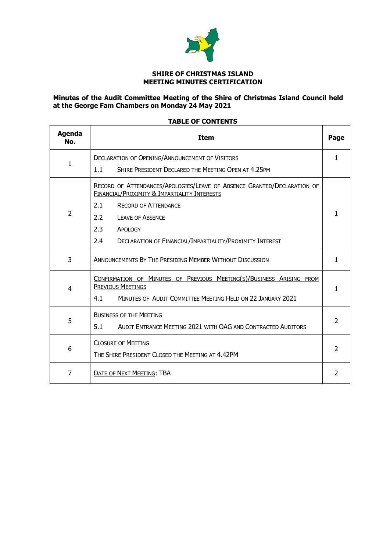

#### **SHIRE OF CHRISTMAS ISLAND MEETING MINUTES CERTIFICATION**

#### **Minutes of the Audit Committee Meeting of the Shire of Christmas Island Council held at the George Fam Chambers on Monday 24 May 2021**

| Agenda<br>No.  | <b>Item</b>                                                                                                             | Page           |  |
|----------------|-------------------------------------------------------------------------------------------------------------------------|----------------|--|
| 1              | <b>DECLARATION OF OPENING/ANNOUNCEMENT OF VISITORS</b>                                                                  |                |  |
|                | SHIRE PRESIDENT DECLARED THE MEETING OPEN AT 4.25PM<br>1.1                                                              |                |  |
| $\overline{2}$ | RECORD OF ATTENDANCES/APOLOGIES/LEAVE OF ABSENCE GRANTED/DECLARATION OF<br>FINANCIAL/PROXIMITY & IMPARTIALITY INTERESTS |                |  |
|                | 2.1<br><b>RECORD OF ATTENDANCE</b>                                                                                      | 1              |  |
|                | 2.2<br><b>LEAVE OF ABSENCE</b>                                                                                          |                |  |
|                | 2.3<br>APOLOGY                                                                                                          |                |  |
|                | 2.4<br><b>DECLARATION OF FINANCIAL/IMPARTIALITY/PROXIMITY INTEREST</b>                                                  |                |  |
| 3              | ANNOUNCEMENTS BY THE PRESIDING MEMBER WITHOUT DISCUSSION                                                                |                |  |
| 4              | CONFIRMATION OF MINUTES OF PREVIOUS MEETING(S)/BUSINESS ARISING FROM<br><b>PREVIOUS MEETINGS</b>                        |                |  |
|                | MINUTES OF AUDIT COMMITTEE MEETING HELD ON 22 JANUARY 2021<br>4.1                                                       | 1              |  |
|                |                                                                                                                         |                |  |
| 5              | <b>BUSINESS OF THE MEETING</b>                                                                                          |                |  |
|                | 5.1<br>AUDIT ENTRANCE MEETING 2021 WITH OAG AND CONTRACTED AUDITORS                                                     | $\overline{2}$ |  |
| 6              | <b>CLOSURE OF MEETING</b>                                                                                               |                |  |
|                | THE SHIRE PRESIDENT CLOSED THE MEETING AT 4.42PM                                                                        |                |  |
| 7              | <b>DATE OF NEXT MEETING: TBA</b>                                                                                        | $\overline{2}$ |  |

#### **TABLE OF CONTENTS**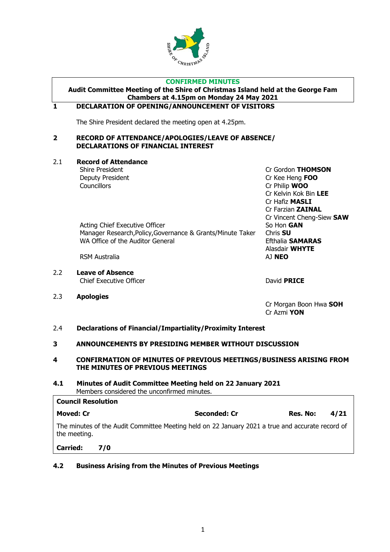

#### **CONFIRMED MINUTES**

### **Audit Committee Meeting of the Shire of Christmas Island held at the George Fam Chambers at 4.15pm on Monday 24 May 2021**

#### <span id="page-2-0"></span>**1 DECLARATION OF OPENING/ANNOUNCEMENT OF VISITORS**

The Shire President declared the meeting open at 4.25pm.

#### <span id="page-2-1"></span>**2 RECORD OF ATTENDANCE/APOLOGIES/LEAVE OF ABSENCE/ DECLARATIONS OF FINANCIAL INTEREST**

#### 2.1 **Record of Attendance**

Councillors Cr Philip **WOO**

Shire President Cr Gordon **THOMSON** Deputy President Cr Kee Heng **FOO** Cr Kelvin Kok Bin **LEE** Cr Hafiz **MASLI** Cr Farzian **ZAINAL** Cr Vincent Cheng-Siew **SAW** Acting Chief Executive Officer So Hon **GAN** Manager Research,Policy,Governance & Grants/Minute Taker Chris **SU** WA Office of the Auditor General **Efthalia SAMARAS** Alasdair **WHYTE**

RSM Australia **AJ NEO** 

- 2.2 **Leave of Absence** Chief Executive Officer **David PRICE**
- 2.3 **Apologies**

<span id="page-2-2"></span>Cr Morgan Boon Hwa **SOH** Cr Azmi **YON**

#### 2.4 **Declarations of Financial/Impartiality/Proximity Interest**

#### <span id="page-2-3"></span>**3 ANNOUNCEMENTS BY PRESIDING MEMBER WITHOUT DISCUSSION**

#### <span id="page-2-4"></span>**4 CONFIRMATION OF MINUTES OF PREVIOUS MEETINGS/BUSINESS ARISING FROM THE MINUTES OF PREVIOUS MEETINGS**

#### **4.1 Minutes of Audit Committee Meeting held on 22 January 2021** Members considered the unconfirmed minutes.

| <b>Council Resolution</b>                                                                                        |              |          |      |  |
|------------------------------------------------------------------------------------------------------------------|--------------|----------|------|--|
| Moved: Cr                                                                                                        | Seconded: Cr | Res. No: | 4/21 |  |
| The minutes of the Audit Committee Meeting held on 22 January 2021 a true and accurate record of<br>the meeting. |              |          |      |  |
|                                                                                                                  |              |          |      |  |

**Carried: 7/0**

#### **4.2 Business Arising from the Minutes of Previous Meetings**